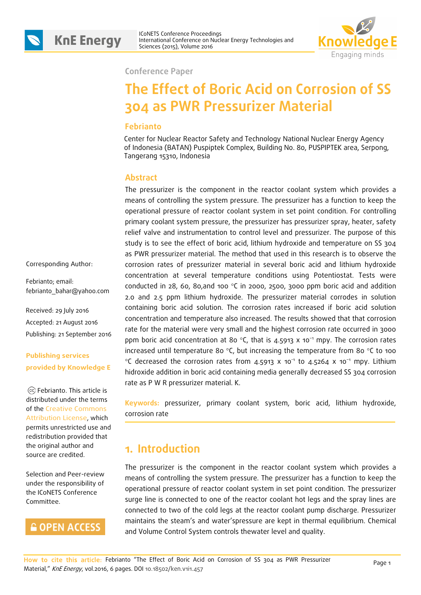

ICoNETS Conference Proceedings **KnE Energy** International Conference Proceedings<br>Sciences (2015), Volume 2016



**Conference Paper**

# **The Effect of Boric Acid on Corrosion of SS 304 as PWR Pressurizer Material**

#### **Febrianto**

Center for Nuclear Reactor Safety and Technology National Nuclear Energy Agency of Indonesia (BATAN) Puspiptek Complex, Building No. 80, PUSPIPTEK area, Serpong, Tangerang 15310, Indonesia

#### **Abstract**

The pressurizer is the component in the reactor coolant system which provides a means of controlling the system pressure. The pressurizer has a function to keep the operational pressure of reactor coolant system in set point condition. For controlling primary coolant system pressure, the pressurizer has pressurizer spray, heater, safety relief valve and instrumentation to control level and pressurizer. The purpose of this study is to see the effect of boric acid, lithium hydroxide and temperature on SS 304 as PWR pressurizer material. The method that used in this research is to observe the corrosion rates of pressurizer material in several boric acid and lithium hydroxide concentration at several temperature conditions using Potentiostat. Tests were conducted in 28, 60, 80,and 100 °C in 2000, 2500, 3000 ppm boric acid and addition 2.0 and 2.5 ppm lithium hydroxide. The pressurizer material corrodes in solution containing boric acid solution. The corrosion rates increased if boric acid solution concentration and temperature also increased. The results showed that that corrosion rate for the material were very small and the highest corrosion rate occurred in 3000 ppm boric acid concentration at 80 °C, that is 4.5913 x 10<sup>-1</sup> mpy. The corrosion rates increased until temperature 80 °C, but increasing the temperature from 80 °C to 100 °C decreased the corrosion rates from 4.5913 x 10<sup>-1</sup> to 4.5264 x 10<sup>-1</sup> mpy. Lithium hidroxide addition in boric acid containing media generally decreased SS 304 corrosion rate as P W R pressurizer material. K.

**Keywords:** pressurizer, primary coolant system, boric acid, lithium hydroxide, corrosion rate

### **1. Introduction**

The pressurizer is the component in the reactor coolant system which provides a means of controlling the system pressure. The pressurizer has a function to keep the operational pressure of reactor coolant system in set point condition. The pressurizer surge line is connected to one of the reactor coolant hot legs and the spray lines are connected to two of the cold legs at the reactor coolant pump discharge. Pressurizer maintains the steam's and water'spressure are kept in thermal equilibrium. Chemical and Volume Control System controls thewater level and quality.

Corresponding Author:

Febrianto; email: febrianto\_bahar@yahoo.com

Received: 29 July 2016 Accepted: 21 August 2016 Publishing: 21 September 2016

#### **Publishing services provided by Knowledge E**

Febrianto. This article is distributed under the terms of the Creative Commons Attribution License, which permits unrestricted use and redistribution provided that the original author and source are credited.

Selection and Peer-review under the responsibility of the ICoNETS Conference Committee.

#### **GOPEN ACCESS**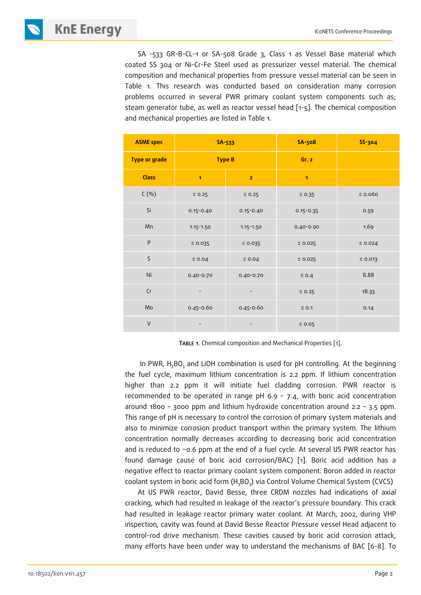**KNE ENERGY ICONETS Conference Proceedings** 

SA -533 GR-B-CL-1 or SA-508 Grade 3, Class 1 as Vessel Base material which coated SS 304 or Ni-Cr-Fe Steel used as pressurizer vessel material. The chemical composition and mechanical properties from pressure vessel material can be seen in Table 1. This research was conducted based on consideration many corrosion problems occurred in several PWR primary coolant system components such as; steam generator tube, as well as reactor vessel head [1-5]. The chemical composition and mechanical properties are listed in Table 1.

| <b>ASME</b> spec     | SA-533        |                         | <b>SA-508</b> | <b>SS-304</b> |
|----------------------|---------------|-------------------------|---------------|---------------|
| <b>Type or grade</b> | <b>Type B</b> |                         | Gr.2          |               |
| <b>Class</b>         | 1             | $\overline{\mathbf{z}}$ | $\mathbf{I}$  |               |
| C(%)                 | $\leq$ 0.25   | $\leq$ 0.25             | $\leq 0.35$   | $\leq 0.060$  |
| Si                   | $0.15 - 0.40$ | $0.15 - 0.40$           | $0.15 - 0.35$ | 0.59          |
| Mn                   | $1.15 - 1.50$ | $1.15 - 1.50$           | 0.40-0.90     | 1.69          |
| ${\sf P}$            | $\leq 0.035$  | $\leq 0.035$            | $\leq 0.025$  | $\leq 0.024$  |
| $\mathsf S$          | $\leq 0.04$   | $\leq 0.04$             | $\leq 0.025$  | $\leq 0.013$  |
| Ni                   | $0.40 - 0.70$ | $0.40 - 0.70$           | $\leq 0.4$    | 8.88          |
| Сr                   |               |                         | $\leq 0.25$   | 18.33         |
| Mo                   | 0.45-0.60     | 0.45-0.60               | $\leq$ 0.1    | 0.14          |
| $\vee$               |               |                         | $\leq 0.05$   |               |

TABLE 1. Chemical composition and Mechanical Properties [1].

In PWR,  $H_3BO_3$  and LiOH combination is used for pH controlling. At the beginning the fuel cycle, maximum lithium concentration is 2.2 ppm. If lithium concentration higher than 2.2 ppm it will initiate fuel cladding corrosion. PWR reactor is recommended to be operated in range  $pH$  6.9 – 7.4, with boric acid concentration around 1800 – 3000 ppm and lithium hydroxide concentration around 2.2 – 3.5 ppm. This range of pH is necessary to control the corrosion of primary system materials and also to minimize corrosion product transport within the primary system. The lithium concentration normally decreases according to decreasing boric acid concentration and is reduced to ~0.6 ppm at the end of a fuel cycle. At several US PWR reactor has found damage cause of boric acid corrosion/BAC) [1]. Boric acid addition has a negative effect to reactor primary coolant system component. Boron added in reactor coolant system in boric acid form (H<sub>3</sub>BO<sub>3</sub>) via Control Volume Chemical System (CVCS)

At US PWR reactor, David Besse, three CRDM nozzles had indications of axial cracking, which had resulted in leakage of the reactor's pressure boundary. This crack had resulted in leakage reactor primary water coolant. At March, 2002, during VHP inspection, cavity was found at David Besse Reactor Pressure vessel Head adjacent to control-rod drive mechanism. These cavities caused by boric acid corrosion attack, many efforts have been under way to understand the mechanisms of BAC [6-8]. To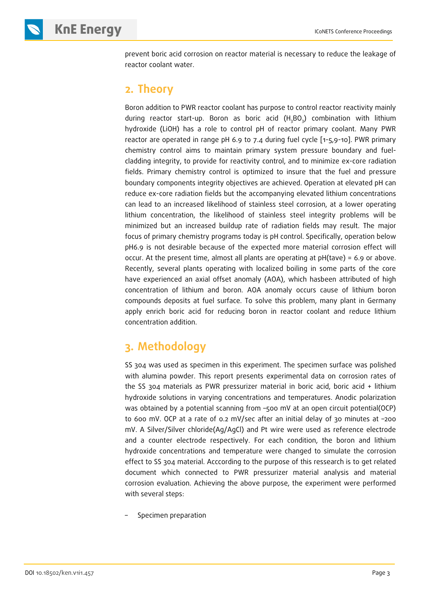prevent boric acid corrosion on reactor material is necessary to reduce the leakage of reactor coolant water.

## **2. Theory**

Boron addition to PWR reactor coolant has purpose to control reactor reactivity mainly during reactor start-up. Boron as boric acid (H<sub>3</sub>BO<sub>3</sub>) combination with lithium hydroxide (LiOH) has a role to control pH of reactor primary coolant. Many PWR reactor are operated in range pH 6.9 to 7.4 during fuel cycle [1-5,9-10]. PWR primary chemistry control aims to maintain primary system pressure boundary and fuelcladding integrity, to provide for reactivity control, and to minimize ex-core radiation fields. Primary chemistry control is optimized to insure that the fuel and pressure boundary components integrity objectives are achieved. Operation at elevated pH can reduce ex-core radiation fields but the accompanying elevated lithium concentrations can lead to an increased likelihood of stainless steel corrosion, at a lower operating lithium concentration, the likelihood of stainless steel integrity problems will be minimized but an increased buildup rate of radiation fields may result. The major focus of primary chemistry programs today is pH control. Specifically, operation below pH6.9 is not desirable because of the expected more material corrosion effect will occur. At the present time, almost all plants are operating at pH(tave) = 6.9 or above. Recently, several plants operating with localized boiling in some parts of the core have experienced an axial offset anomaly (AOA), which hasbeen attributed of high concentration of lithium and boron. AOA anomaly occurs cause of lithium boron compounds deposits at fuel surface. To solve this problem, many plant in Germany apply enrich boric acid for reducing boron in reactor coolant and reduce lithium concentration addition.

## **3. Methodology**

SS 304 was used as specimen in this experiment. The specimen surface was polished with alumina powder. This report presents experimental data on corrosion rates of the SS 304 materials as PWR pressurizer material in boric acid, boric acid + lithium hydroxide solutions in varying concentrations and temperatures. Anodic polarization was obtained by a potential scanning from -500 mV at an open circuit potential(OCP) to 600 mV. OCP at a rate of 0.2 mV/sec after an initial delay of 30 minutes at –200 mV. A Silver/Silver chloride(Ag/AgCl) and Pt wire were used as reference electrode and a counter electrode respectively. For each condition, the boron and lithium hydroxide concentrations and temperature were changed to simulate the corrosion effect to SS 304 material. Acccording to the purpose of this ressearch is to get related document which connected to PWR pressurizer material analysis and material corrosion evaluation. Achieving the above purpose, the experiment were performed with several steps:

– Specimen preparation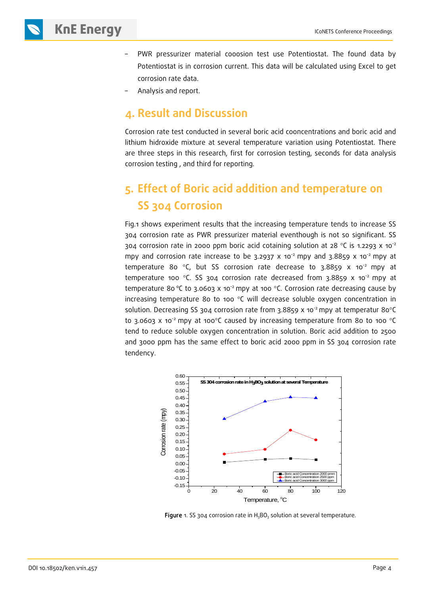- PWR pressurizer material cooosion test use Potentiostat. The found data by Potentiostat is in corrosion current. This data will be calculated using Excel to get corrosion rate data.
- Analysis and report.

### **4. Result and Discussion**

Corrosion rate test conducted in several boric acid cooncentrations and boric acid and lithium hidroxide mixture at several temperature variation using Potentiostat. There are three steps in this research, first for corrosion testing, seconds for data analysis corrosion testing , and third for reporting.

## **5. Effect of Boric acid addition and temperature on SS 304 Corrosion**

Fig.1 shows experiment results that the increasing temperature tends to increase SS 304 corrosion rate as PWR pressurizer material eventhough is not so significant. SS 304 corrosion rate in 2000 ppm boric acid cotaining solution at 28  $\textdegree C$  is 1.2293 x 10<sup>-2</sup> mpy and corrosion rate increase to be 3.2937 x 10<sup>-2</sup> mpy and 3.8859 x 10<sup>-2</sup> mpy at temperature 80  $\degree$ C, but SS corrosion rate decrease to 3.8859 x 10 $\degree$  mpy at temperature 100 °C. SS 304 corrosion rate decreased from 3.8859  $\times$  10<sup>-2</sup> mpy at temperature 80 °C to 3.0603 x 10<sup>-2</sup> mpy at 100 °C. Corrosion rate decreasing cause by increasing temperature 80 to 100  $^{\circ}$ C will decrease soluble oxygen concentration in solution. Decreasing SS 304 corrosion rate from 3.8859 x 10<sup>-2</sup> mpy at temperatur 80°C to 3.0603 x 10<sup>-2</sup> mpy at 100°C caused by increasing temperature from 80 to 100 °C tend to reduce soluble oxygen concentration in solution. Boric acid addition to 2500 and 3000 ppm has the same effect to boric acid 2000 ppm in SS 304 corrosion rate tendency.



Figure 1. SS 304 corrosion rate in  $H_3BO_3$  solution at several temperature.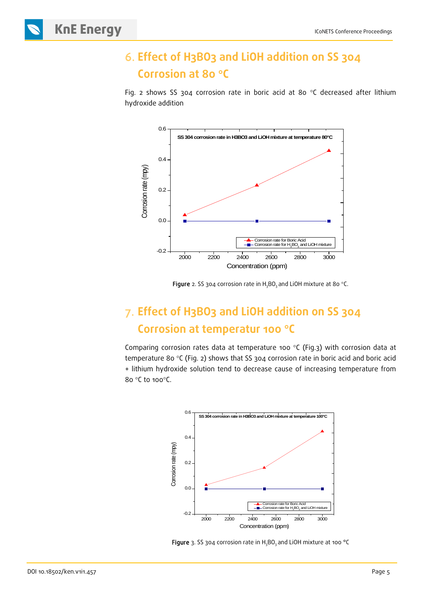## 6. **Effect of H3BO3 and LiOH addition on SS 304 Corrosion at 80** °**C**

Fig. 2 shows SS 304 corrosion rate in boric acid at 80 °C decreased after lithium hydroxide addition



Figure 2. SS 304 corrosion rate in  $H_3BO_3$  and LiOH mixture at 80 °C.

## 7. **Effect of H3BO3 and LiOH addition on SS 304 Corrosion at temperatur 100** °**C**

Comparing corrosion rates data at temperature 100 °C (Fig.3) with corrosion data at temperature 80 °C (Fig. 2) shows that SS 304 corrosion rate in boric acid and boric acid + lithium hydroxide solution tend to decrease cause of increasing temperature from 80 °C to 100°C.



Figure 3. SS 304 corrosion rate in  $H_3BO_3$  and LiOH mixture at 100 °C